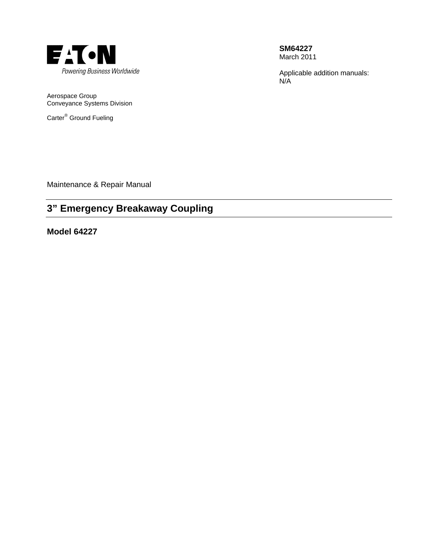

**SM64227**  March 2011

Applicable addition manuals: N/A

Aerospace Group Conveyance Systems Division

Carter<sup>®</sup> Ground Fueling

Maintenance & Repair Manual

# **3" Emergency Breakaway Coupling**

**Model 64227**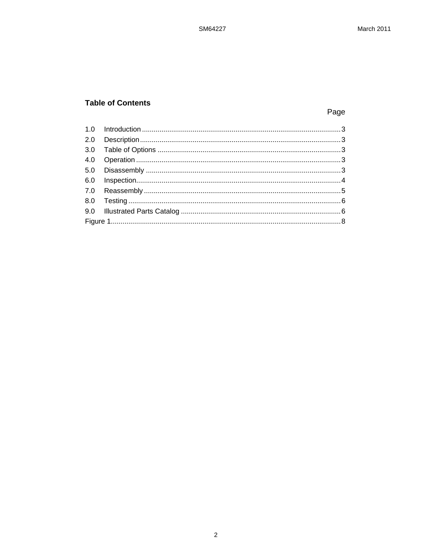## **Table of Contents**

## Page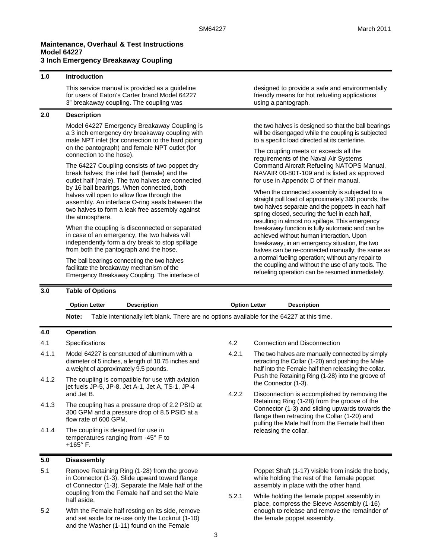### **Maintenance, Overhaul & Test Instructions Model 64227**

## **3 Inch Emergency Breakaway Coupling**

| 1.0 | <b>Introduction</b>                                                                                                                                                                                                                                                                                                                                                    |                                                                                                                                                                                                                                                               |  |  |  |
|-----|------------------------------------------------------------------------------------------------------------------------------------------------------------------------------------------------------------------------------------------------------------------------------------------------------------------------------------------------------------------------|---------------------------------------------------------------------------------------------------------------------------------------------------------------------------------------------------------------------------------------------------------------|--|--|--|
|     | This service manual is provided as a guideline<br>for users of Eaton's Carter brand Model 64227<br>3" breakaway coupling. The coupling was                                                                                                                                                                                                                             | designed to provide a safe and environmentally<br>friendly means for hot refueling applications<br>using a pantograph.                                                                                                                                        |  |  |  |
| 2.0 | <b>Description</b>                                                                                                                                                                                                                                                                                                                                                     |                                                                                                                                                                                                                                                               |  |  |  |
|     | Model 64227 Emergency Breakaway Coupling is<br>a 3 inch emergency dry breakaway coupling with<br>male NPT inlet (for connection to the hard piping                                                                                                                                                                                                                     | the two halves is designed so that the ball bearings<br>will be disengaged while the coupling is subjected<br>to a specific load directed at its centerline.                                                                                                  |  |  |  |
|     | on the pantograph) and female NPT outlet (for<br>connection to the hose).                                                                                                                                                                                                                                                                                              | The coupling meets or exceeds all the<br>requirements of the Naval Air Systems                                                                                                                                                                                |  |  |  |
|     | The 64227 Coupling consists of two poppet dry<br>break halves; the inlet half (female) and the<br>outlet half (male). The two halves are connected<br>by 16 ball bearings. When connected, both<br>halves will open to allow flow through the<br>assembly. An interface O-ring seals between the<br>two halves to form a leak free assembly against<br>the atmosphere. | Command Aircraft Refueling NATOPS Manual,<br>NAVAIR 00-80T-109 and is listed as approved<br>for use in Appendix D of their manual.                                                                                                                            |  |  |  |
|     |                                                                                                                                                                                                                                                                                                                                                                        | When the connected assembly is subjected to a<br>straight pull load of approximately 360 pounds, the<br>two halves separate and the poppets in each half<br>spring closed, securing the fuel in each half,<br>resulting in almost no spillage. This emergency |  |  |  |
|     | When the coupling is disconnected or separated<br>in case of an emergency, the two halves will<br>independently form a dry break to stop spillage<br>from both the pantograph and the hose.                                                                                                                                                                            | breakaway function is fully automatic and can be<br>achieved without human interaction. Upon<br>breakaway, in an emergency situation, the two<br>halves can be re-connected manually; the same as                                                             |  |  |  |
|     | The ball bearings connecting the two halves<br>facilitate the breakaway mechanism of the<br>Emergency Breakaway Coupling. The interface of                                                                                                                                                                                                                             | a normal fueling operation; without any repair to<br>the coupling and without the use of any tools. The<br>refueling operation can be resumed immediately.                                                                                                    |  |  |  |

#### **3.0 Table of Options**

|       | <b>Option Letter</b><br><b>Description</b>                                                                                                   | <b>Option Letter</b>                                                                                                                                   |                                                                           | <b>Description</b>                                                                                                                                           |
|-------|----------------------------------------------------------------------------------------------------------------------------------------------|--------------------------------------------------------------------------------------------------------------------------------------------------------|---------------------------------------------------------------------------|--------------------------------------------------------------------------------------------------------------------------------------------------------------|
|       | Table intentionally left blank. There are no options available for the 64227 at this time.<br>Note:                                          |                                                                                                                                                        |                                                                           |                                                                                                                                                              |
| 4.0   | <b>Operation</b>                                                                                                                             |                                                                                                                                                        |                                                                           |                                                                                                                                                              |
| 4.1   | Specifications                                                                                                                               | 4.2                                                                                                                                                    |                                                                           | Connection and Disconnection                                                                                                                                 |
| 4.1.1 | Model 64227 is constructed of aluminum with a<br>diameter of 5 inches, a length of 10.75 inches and<br>a weight of approximately 9.5 pounds. | 4.2.1                                                                                                                                                  |                                                                           | The two halves are manually connected by simply<br>retracting the Collar (1-20) and pushing the Male<br>half into the Female half then releasing the collar. |
| 4.1.2 | The coupling is compatible for use with aviation<br>jet fuels JP-5, JP-8, Jet A-1, Jet A, TS-1, JP-4                                         |                                                                                                                                                        | Push the Retaining Ring (1-28) into the groove of<br>the Connector (1-3). |                                                                                                                                                              |
| 4.1.3 | and Jet B.<br>The coupling has a pressure drop of 2.2 PSID at<br>300 GPM and a pressure drop of 8.5 PSID at a<br>flow rate of 600 GPM.       | 4.2.2<br>Disconnection is accomplished by removing the<br>Retaining Ring (1-28) from the groove of the<br>flange then retracting the Collar (1-20) and |                                                                           | Connector (1-3) and sliding upwards towards the<br>pulling the Male half from the Female half then                                                           |
| 4.1.4 | The coupling is designed for use in<br>temperatures ranging from -45° F to<br>$+165^{\circ}$ F.                                              |                                                                                                                                                        | releasing the collar.                                                     |                                                                                                                                                              |
| 5.0   | <b>Disassembly</b>                                                                                                                           |                                                                                                                                                        |                                                                           |                                                                                                                                                              |

- 5.1 Remove Retaining Ring (1-28) from the groove in Connector (1-3). Slide upward toward flange of Connector (1-3). Separate the Male half of the coupling from the Female half and set the Male half aside.
- 5.2 With the Female half resting on its side, remove and set aside for re-use only the Locknut (1-10) and the Washer (1-11) found on the Female

Poppet Shaft (1-17) visible from inside the body, while holding the rest of the female poppet assembly in place with the other hand.

5.2.1 While holding the female poppet assembly in place, compress the Sleeve Assembly (1-16) enough to release and remove the remainder of the female poppet assembly.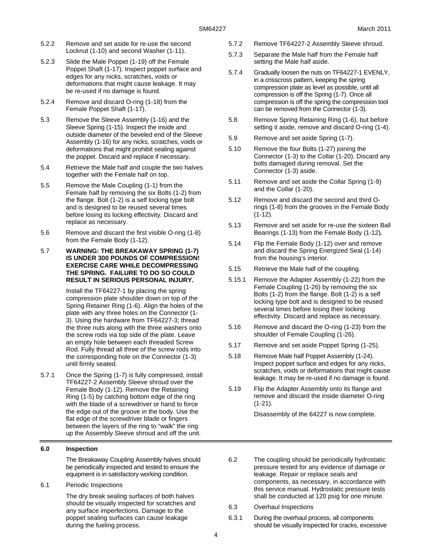- 5.2.2 Remove and set aside for re-use the second Locknut (1-10) and second Washer (1-11).
- 5.2.3 Slide the Male Poppet (1-19) off the Female Poppet Shaft (1-17). Inspect poppet surface and edges for any nicks, scratches, voids or deformations that might cause leakage. It may be re-used if no damage is found.
- 5.2.4 Remove and discard O-ring (1-18) from the Female Poppet Shaft (1-17).
- 5.3 Remove the Sleeve Assembly (1-16) and the Sleeve Spring (1-15). Inspect the inside and outside diameter of the beveled end of the Sleeve Assembly (1-16) for any nicks, scratches, voids or deformations that might prohibit sealing against the poppet. Discard and replace if necessary.
- 5.4 Retrieve the Male half and couple the two halves together with the Female half on top.
- 5.5 Remove the Male Coupling (1-1) from the Female half by removing the six Bolts (1-2) from the flange. Bolt (1-2) is a self locking type bolt and is designed to be reused several times before losing its locking effectivity. Discard and replace as necessary.
- 5.6 Remove and discard the first visible O-ring (1-8) from the Female Body (1-12).
- 5.7 **WARNING: THE BREAKAWAY SPRING (1-7) IS UNDER 300 POUNDS OF COMPRESSION! EXERCISE CARE WHILE DECOMPRESSING THE SPRING. FAILURE TO DO SO COULD RESULT IN SERIOUS PERSONAL INJURY.**

Install the TF64227-1 by placing the spring compression plate shoulder down on top of the Spring Retainer Ring (1-6). Align the holes of the plate with any three holes on the Connector (1- 3). Using the hardware from TF64227-3; thread the three nuts along with the three washers onto the screw rods via top side of the plate. Leave an empty hole between each threaded Screw Rod. Fully thread all three of the screw rods into the corresponding hole on the Connector (1-3) until firmly seated.

5.7.1 Once the Spring (1-7) is fully compressed, install TF64227-2 Assembly Sleeve shroud over the Female Body (1-12). Remove the Retaining Ring (1-5) by catching bottom edge of the ring with the blade of a screwdriver or hand to force the edge out of the groove in the body. Use the flat edge of the screwdriver blade or fingers between the layers of the ring to "walk" the ring up the Assembly Sleeve shroud and off the unit.

#### **6.0 Inspection**

The Breakaway Coupling Assembly halves should be periodically inspected and tested to ensure the equipment is in satisfactory working condition.

6.1 Periodic Inspections

The dry break sealing surfaces of both halves should be visually inspected for scratches and any surface imperfections. Damage to the poppet sealing surfaces can cause leakage during the fueling process.

- 5.7.2 Remove TF64227-2 Assembly Sleeve shroud.
- 5.7.3 Separate the Male half from the Female half setting the Male half aside.
- 5.7.4 Gradually loosen the nuts on TF64227-1 EVENLY, in a crisscross pattern, keeping the spring compression plate as level as possible, until all compression is off the Spring (1-7). Once all compression is off the spring the compression tool can be removed from the Connector (1-3).
- 5.8 Remove Spring Retaining Ring (1-6), but before setting it aside, remove and discard O-ring (1-4).
- 5.9 Remove and set aside Spring (1-7).
- 5.10 Remove the four Bolts (1-27) joining the Connector (1-3) to the Collar (1-20). Discard any bolts damaged during removal. Set the Connector (1-3) aside.
- 5.11 Remove and set aside the Collar Spring (1-9) and the Collar (1-20).
- 5.12 Remove and discard the second and third Orings (1-8) from the grooves in the Female Body (1-12).
- 5.13 Remove and set aside for re-use the sixteen Ball Bearings (1-13) from the Female Body (1-12).
- 5.14 Flip the Female Body (1-12) over and remove and discard the Spring Energized Seal (1-14) from the housing's interior.
- 5.15 Retrieve the Male half of the coupling.
- 5.15.1 Remove the Adapter Assembly (1-22) from the Female Coupling (1-26) by removing the six Bolts (1-2) from the flange. Bolt (1-2) is a self locking type bolt and is designed to be reused several times before losing their locking effectivity. Discard and replace as necessary.
- 5.16 Remove and discard the O-ring (1-23) from the shoulder of Female Coupling (1-26).
- 5.17 Remove and set aside Poppet Spring (1-25).
- 5.18 Remove Male half Poppet Assembly (1-24). Inspect poppet surface and edges for any nicks, scratches, voids or deformations that might cause leakage. It may be re-used if no damage is found.
- 5.19 Flip the Adapter Assembly onto its flange and remove and discard the inside diameter O-ring (1-21).

Disassembly of the 64227 is now complete.

- 6.2 The coupling should be periodically hydrostatic pressure tested for any evidence of damage or leakage. Repair or replace seals and components, as necessary, in accordance with this service manual. Hydrostatic pressure tests shall be conducted at 120 psig for one minute.
- 6.3 Overhaul Inspections
- 6.3.1 During the overhaul process, all components should be visually inspected for cracks, excessive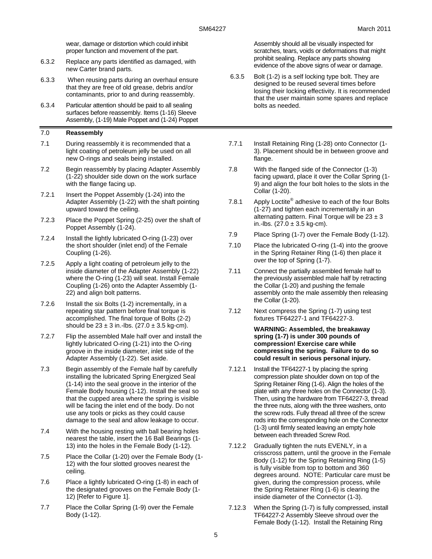wear, damage or distortion which could inhibit proper function and movement of the part.

- 6.3.2 Replace any parts identified as damaged, with new Carter brand parts.
- 6.3.3 When reusing parts during an overhaul ensure that they are free of old grease, debris and/or contaminants, prior to and during reassembly.
- 6.3.4 Particular attention should be paid to all sealing surfaces before reassembly. Items (1-16) Sleeve Assembly, (1-19) Male Poppet and (1-24) Poppet

#### 7.0 **Reassembly**

- 7.1 During reassembly it is recommended that a light coating of petroleum jelly be used on all new O-rings and seals being installed.
- 7.2 Begin reassembly by placing Adapter Assembly (1-22) shoulder side down on the work surface with the flange facing up.
- 7.2.1 Insert the Poppet Assembly (1-24) into the Adapter Assembly (1-22) with the shaft pointing upward toward the ceiling.
- 7.2.3 Place the Poppet Spring (2-25) over the shaft of Poppet Assembly (1-24).
- 7.2.4 Install the lightly lubricated O-ring (1-23) over the short shoulder (inlet end) of the Female Coupling (1-26).
- 7.2.5 Apply a light coating of petroleum jelly to the inside diameter of the Adapter Assembly (1-22) where the O-ring (1-23) will seat. Install Female Coupling (1-26) onto the Adapter Assembly (1- 22) and align bolt patterns.
- 7.2.6 Install the six Bolts (1-2) incrementally, in a repeating star pattern before final torque is accomplished. The final torque of Bolts (2-2) should be  $23 \pm 3$  in.-lbs. (27.0  $\pm 3.5$  kg-cm).
- 7.2.7 Flip the assembled Male half over and install the lightly lubricated O-ring (1-21) into the O-ring groove in the inside diameter, inlet side of the Adapter Assembly (1-22). Set aside.
- 7.3 Begin assembly of the Female half by carefully installing the lubricated Spring Energized Seal (1-14) into the seal groove in the interior of the Female Body housing (1-12). Install the seal so that the cupped area where the spring is visible will be facing the inlet end of the body. Do not use any tools or picks as they could cause damage to the seal and allow leakage to occur.
- 7.4 With the housing resting with ball bearing holes nearest the table, insert the 16 Ball Bearings (1- 13) into the holes in the Female Body (1-12).
- 7.5 Place the Collar (1-20) over the Female Body (1- 12) with the four slotted grooves nearest the ceiling.
- 7.6 Place a lightly lubricated O-ring (1-8) in each of the designated grooves on the Female Body (1- 12) [Refer to Figure 1].
- 7.7 Place the Collar Spring (1-9) over the Female Body (1-12).

Assembly should all be visually inspected for scratches, tears, voids or deformations that might prohibit sealing. Replace any parts showing evidence of the above signs of wear or damage.

- 6.3.5 Bolt (1-2) is a self locking type bolt. They are designed to be reused several times before losing their locking effectivity. It is recommended that the user maintain some spares and replace bolts as needed.
- 7.7.1 Install Retaining Ring (1-28) onto Connector (1- 3). Placement should be in between groove and flange.
- 7.8 With the flanged side of the Connector (1-3) facing upward, place it over the Collar Spring (1- 9) and align the four bolt holes to the slots in the Collar (1-20).
- 7.8.1 Apply Loctite<sup>®</sup> adhesive to each of the four Bolts (1-27) and tighten each incrementally in an alternating pattern. Final Torque will be  $23 \pm 3$ in.-lbs.  $(27.0 \pm 3.5 \text{ kg-cm})$ .
- 7.9 Place Spring (1-7) over the Female Body (1-12).
- 7.10 Place the lubricated O-ring (1-4) into the groove in the Spring Retainer Ring (1-6) then place it over the top of Spring (1-7).
- 7.11 Connect the partially assembled female half to the previously assembled male half by retracting the Collar (1-20) and pushing the female assembly onto the male assembly then releasing the Collar (1-20).
- 7.12 Next compress the Spring (1-7) using test fixtures TF64227-1 and TF64227-3.

#### **WARNING: Assembled, the breakaway spring (1-7) is under 300 pounds of compression! Exercise care while compressing the spring. Failure to do so could result in serious personal injury.**

- 7.12.1 Install the TF64227-1 by placing the spring compression plate shoulder down on top of the Spring Retainer Ring (1-6). Align the holes of the plate with any three holes on the Connector (1-3). Then, using the hardware from TF64227-3, thread the three nuts, along with the three washers, onto the screw rods. Fully thread all three of the screw rods into the corresponding hole on the Connector (1-3) until firmly seated leaving an empty hole between each threaded Screw Rod.
- 7.12.2 Gradually tighten the nuts EVENLY, in a crisscross pattern, until the groove in the Female Body (1-12) for the Spring Retaining Ring (1-5) is fully visible from top to bottom and 360 degrees around. NOTE: Particular care must be given, during the compression process, while the Spring Retainer Ring (1-6) is clearing the inside diameter of the Connector (1-3).
- 7.12.3 When the Spring (1-7) is fully compressed, install TF64227-2 Assembly Sleeve shroud over the Female Body (1-12). Install the Retaining Ring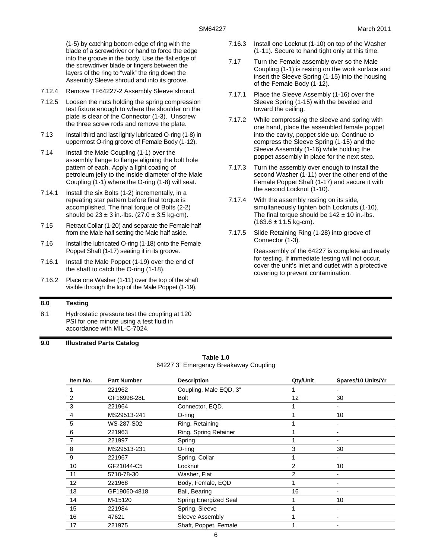(1-5) by catching bottom edge of ring with the blade of a screwdriver or hand to force the edge into the groove in the body. Use the flat edge of the screwdriver blade or fingers between the layers of the ring to "walk" the ring down the Assembly Sleeve shroud and into its groove.

- 7.12.4 Remove TF64227-2 Assembly Sleeve shroud.
- 7.12.5 Loosen the nuts holding the spring compression test fixture enough to where the shoulder on the plate is clear of the Connector (1-3). Unscrew the three screw rods and remove the plate.
- 7.13 Install third and last lightly lubricated O-ring (1-8) in uppermost O-ring groove of Female Body (1-12).
- 7.14 Install the Male Coupling (1-1) over the assembly flange to flange aligning the bolt hole pattern of each. Apply a light coating of petroleum jelly to the inside diameter of the Male Coupling (1-1) where the O-ring (1-8) will seat.
- 7.14.1 Install the six Bolts (1-2) incrementally, in a repeating star pattern before final torque is accomplished. The final torque of Bolts (2-2) should be  $23 \pm 3$  in.-lbs. (27.0  $\pm 3.5$  kg-cm).
- 7.15 Retract Collar (1-20) and separate the Female half from the Male half setting the Male half aside.
- 7.16 Install the lubricated O-ring (1-18) onto the Female Poppet Shaft (1-17) seating it in its groove.
- 7.16.1 Install the Male Poppet (1-19) over the end of the shaft to catch the O-ring (1-18).
- 7.16.2 Place one Washer (1-11) over the top of the shaft visible through the top of the Male Poppet (1-19).

#### **8.0 Testing**

8.1 Hydrostatic pressure test the coupling at 120 PSI for one minute using a test fluid in accordance with MIL-C-7024.

- 7.16.3 Install one Locknut (1-10) on top of the Washer (1-11). Secure to hand tight only at this time.
- 7.17 Turn the Female assembly over so the Male Coupling (1-1) is resting on the work surface and insert the Sleeve Spring (1-15) into the housing of the Female Body (1-12).
- 7.17.1 Place the Sleeve Assembly (1-16) over the Sleeve Spring (1-15) with the beveled end toward the ceiling.
- 7.17.2 While compressing the sleeve and spring with one hand, place the assembled female poppet into the cavity, poppet side up. Continue to compress the Sleeve Spring (1-15) and the Sleeve Assembly (1-16) while holding the poppet assembly in place for the next step.
- 7.17.3 Turn the assembly over enough to install the second Washer (1-11) over the other end of the Female Poppet Shaft (1-17) and secure it with the second Locknut (1-10).
- 7.17.4 With the assembly resting on its side, simultaneously tighten both Locknuts (1-10). The final torque should be  $142 \pm 10$  in.-lbs.  $(163.6 \pm 11.5 \text{ kg-cm}).$
- 7.17.5 Slide Retaining Ring (1-28) into groove of Connector (1-3).

Reassembly of the 64227 is complete and ready for testing. If immediate testing will not occur, cover the unit's inlet and outlet with a protective covering to prevent contamination.

| 9.0 | <b>Illustrated Parts Catalog</b> |
|-----|----------------------------------|
|     |                                  |

| Table 1.0                             |  |  |  |  |
|---------------------------------------|--|--|--|--|
| 64227 3" Emergency Breakaway Coupling |  |  |  |  |

| Item No. | <b>Part Number</b> | <b>Description</b>     | Qty/Unit | Spares/10 Units/Yr |
|----------|--------------------|------------------------|----------|--------------------|
|          | 221962             | Coupling, Male EQD, 3" |          |                    |
| 2        | GF16998-28L        | <b>Bolt</b>            | 12       | 30                 |
| 3        | 221964             | Connector, EQD.        |          |                    |
| 4        | MS29513-241        | $O$ -ring              |          | 10                 |
| 5        | WS-287-S02         | Ring, Retaining        |          |                    |
| 6        | 221963             | Ring, Spring Retainer  |          |                    |
| 7        | 221997             | Spring                 |          |                    |
| 8        | MS29513-231        | $O$ -ring              | 3        | 30                 |
| 9        | 221967             | Spring, Collar         |          |                    |
| 10       | GF21044-C5         | Locknut                | 2        | 10                 |
| 11       | 5710-78-30         | Washer, Flat           | 2        |                    |
| 12       | 221968             | Body, Female, EQD      |          |                    |
| 13       | GF19060-4818       | Ball, Bearing          | 16       |                    |
| 14       | M-15120            | Spring Energized Seal  |          | 10                 |
| 15       | 221984             | Spring, Sleeve         |          |                    |
| 16       | 47621              | Sleeve Assembly        |          |                    |
| 17       | 221975             | Shaft, Poppet, Female  |          |                    |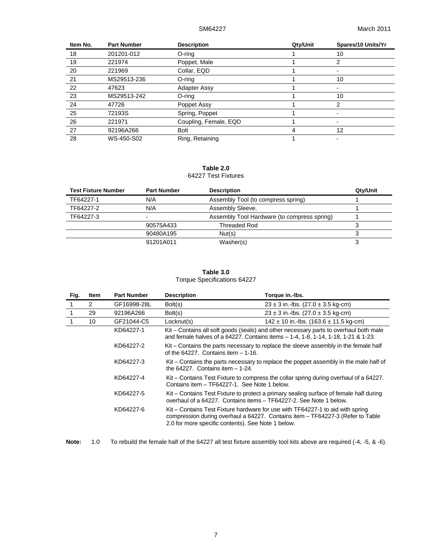| Item No. | <b>Part Number</b> | <b>Description</b>    | Qty/Unit | Spares/10 Units/Yr |
|----------|--------------------|-----------------------|----------|--------------------|
| 18       | 201201-012         | $O$ -ring             |          | 10                 |
| 19       | 221974             | Poppet, Male          |          | 2                  |
| 20       | 221969             | Collar, EQD           |          |                    |
| 21       | MS29513-236        | O-ring                |          | 10                 |
| 22       | 47623              | Adapter Assy          |          |                    |
| 23       | MS29513-242        | O-ring                |          | 10                 |
| 24       | 47726              | Poppet Assy           |          | 2                  |
| 25       | 72193S             | Spring, Poppet        |          |                    |
| 26       | 221971             | Coupling, Female, EQD |          |                    |
| 27       | 92196A266          | <b>Bolt</b>           |          | 12                 |
| 28       | WS-450-S02         | Ring, Retaining       |          |                    |

#### **Table 2.0**  64227 Test Fixtures

| <b>Test Fixture Number</b> | <b>Part Number</b>       | <b>Description</b>                          | Qty/Unit |
|----------------------------|--------------------------|---------------------------------------------|----------|
| TF64227-1                  | N/A                      | Assembly Tool (to compress spring)          |          |
| TF64227-2                  | N/A                      | Assembly Sleeve.                            |          |
| TF64227-3                  | $\overline{\phantom{0}}$ | Assembly Tool Hardware (to compress spring) |          |
|                            | 90575A433                | Threaded Rod                                |          |
|                            | 90480A195                | Nut(s)                                      |          |
|                            | 91201A011                | Washer(s)                                   | s.       |

#### **Table 3.0**  Torque Specifications 64227

| Fig. | <b>Item</b>    | <b>Part Number</b> | <b>Description</b>                                 | Torque in.-Ibs.                                                                                                                                                                                                                                                                                                                                                                                |  |
|------|----------------|--------------------|----------------------------------------------------|------------------------------------------------------------------------------------------------------------------------------------------------------------------------------------------------------------------------------------------------------------------------------------------------------------------------------------------------------------------------------------------------|--|
|      | $\overline{2}$ | GF16998-28L        | Bolt(s)                                            | $23 \pm 3$ in.-lbs. (27.0 $\pm$ 3.5 kg-cm)                                                                                                                                                                                                                                                                                                                                                     |  |
|      | 29             | 92196A266          | Bolt(s)                                            | $23 \pm 3$ in.-lbs. (27.0 $\pm$ 3.5 kg-cm)                                                                                                                                                                                                                                                                                                                                                     |  |
|      | 10             | GF21044-C5         | Locknut(s)                                         | $142 \pm 10$ in.-lbs. (163.6 $\pm$ 11.5 kg-cm)                                                                                                                                                                                                                                                                                                                                                 |  |
|      |                | KD64227-1          |                                                    | Kit – Contains all soft goods (seals) and other necessary parts to overhaul both male<br>and female halves of a 64227. Contains items - 1-4, 1-8, 1-14, 1-18, 1-21 & 1-23.                                                                                                                                                                                                                     |  |
|      |                | KD64227-2          | of the $64227$ . Contains item $-1-16$ .           | Kit – Contains the parts necessary to replace the sleeve assembly in the female half                                                                                                                                                                                                                                                                                                           |  |
|      |                | KD64227-3          | the $64227$ . Contains item $-1-24$ .              | Kit – Contains the parts necessary to replace the poppet assembly in the male half of<br>Kit – Contains Test Fixture to compress the collar spring during overhaul of a 64227.<br>Contains item - TF64227-1. See Note 1 below.<br>Kit – Contains Test Fixture to protect a primary sealing surface of female half during<br>overhaul of a 64227. Contains items - TF64227-2. See Note 1 below. |  |
|      |                | KD64227-4          |                                                    |                                                                                                                                                                                                                                                                                                                                                                                                |  |
|      |                | KD64227-5          |                                                    |                                                                                                                                                                                                                                                                                                                                                                                                |  |
|      |                | KD64227-6          | 2.0 for more specific contents). See Note 1 below. | Kit – Contains Test Fixture hardware for use with TF64227-1 to aid with spring<br>compression during overhaul a 64227. Contains item – TF64227-3 (Refer to Table                                                                                                                                                                                                                               |  |

**Note:** 1.0 To rebuild the female half of the 64227 all test fixture assembly tool kits above are required (-4, -5, & -6).